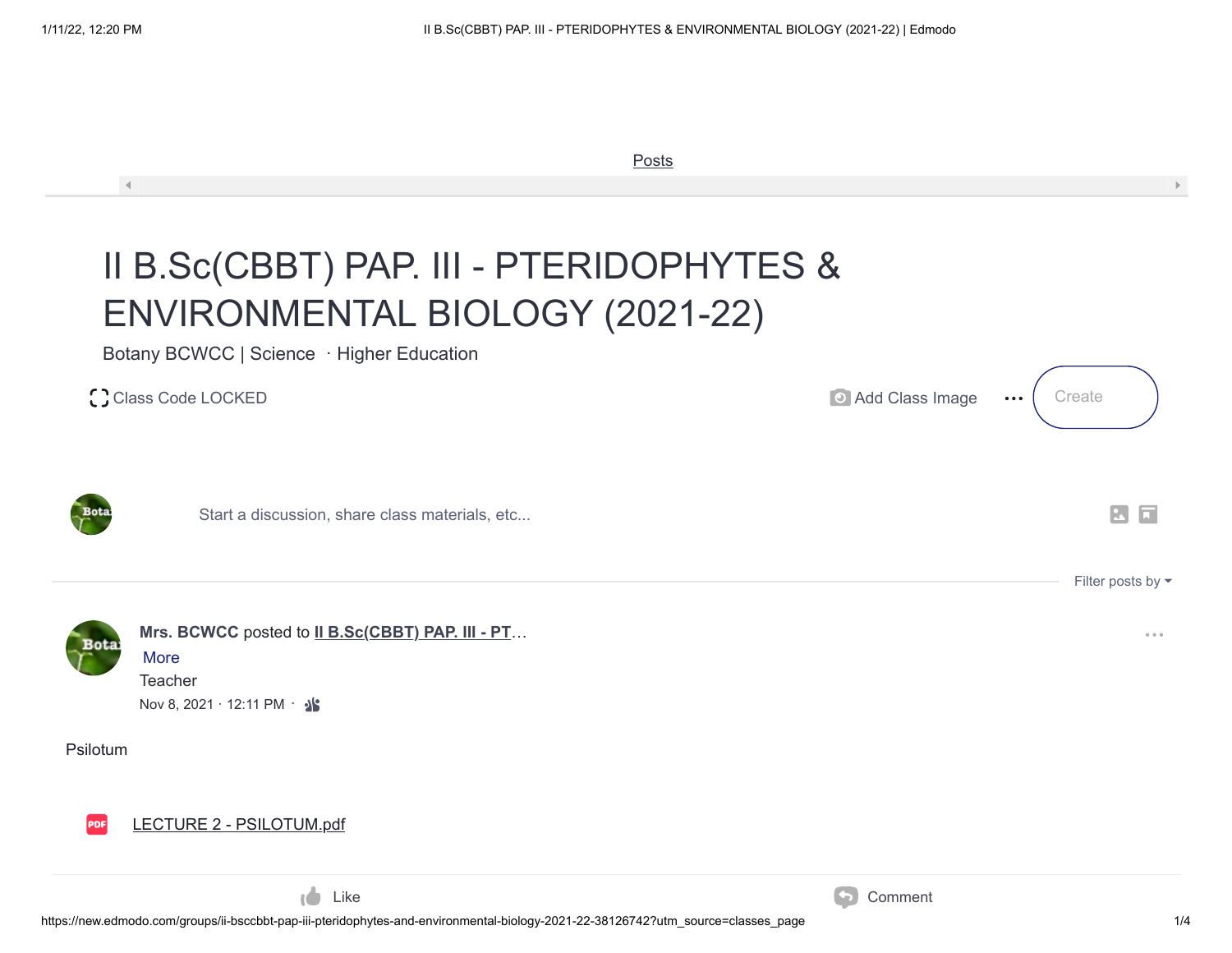|          | Posts                                                                                                                                                                     |                 |                                                |
|----------|---------------------------------------------------------------------------------------------------------------------------------------------------------------------------|-----------------|------------------------------------------------|
|          | $\left  \cdot \right $<br>II B.Sc(CBBT) PAP. III - PTERIDOPHYTES &<br>ENVIRONMENTAL BIOLOGY (2021-22)<br>Botany BCWCC   Science · Higher Education<br>C Class Code LOCKED | Add Class Image | Create<br>$\bullet\bullet\bullet$              |
|          | Start a discussion, share class materials, etc                                                                                                                            |                 | $ \mathbf{M} $                                 |
|          | Mrs. BCWCC posted to II B.Sc(CBBT) PAP. III - PT<br><b>More</b><br>Teacher<br>Nov 8, 2021 · 12:11 PM · · ·                                                                |                 | Filter posts by $\blacktriangleright$<br>0.0.0 |
| Psilotum |                                                                                                                                                                           |                 |                                                |
|          | LECTURE 2 - PSILOTUM.pdf                                                                                                                                                  |                 |                                                |

Like Comment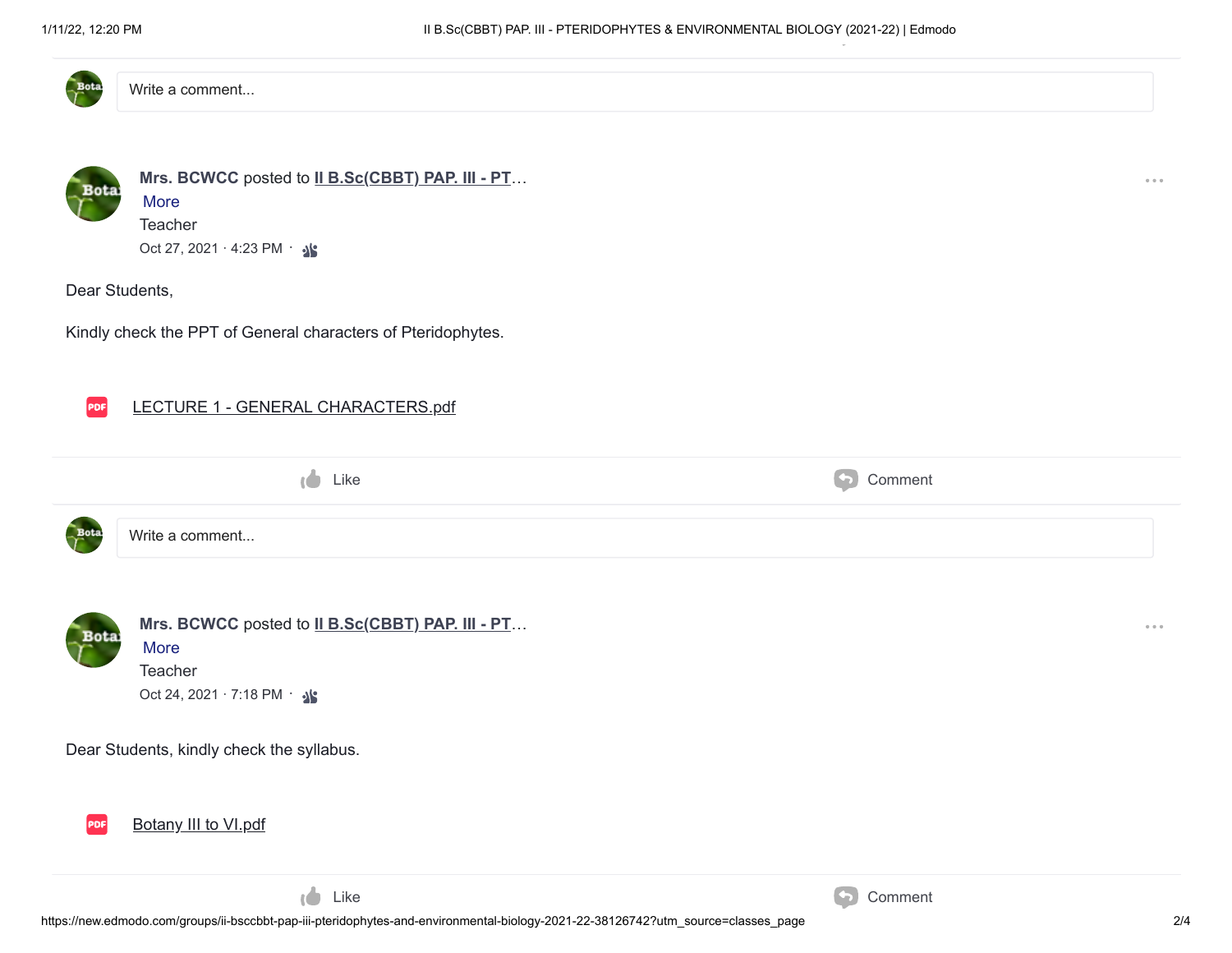

Write a comment...



Dear Students,

Kindly check the PPT of General characters of Pteridophytes.



|      | Like            | Comment |
|------|-----------------|---------|
| Bota | Write a comment |         |



[Mrs. BCWCC](https://new.edmodo.com/profile/b-bcwcc-cf3887/) posted to [II B.Sc\(CBBT\) PAP. III - PT](https://new.edmodo.com/groups/ii-bsccbbt-pap-iii-pteridophytes-and-environmental-biology-2021-22-38126742)...

More **Teacher** Oct 24, 2021 · 7:18 PM · 3

Dear Students, kindly check the syllabus.



Like Comment

 $\sim$   $\sim$   $\sim$ 

 $\sim$   $\sim$   $\sim$